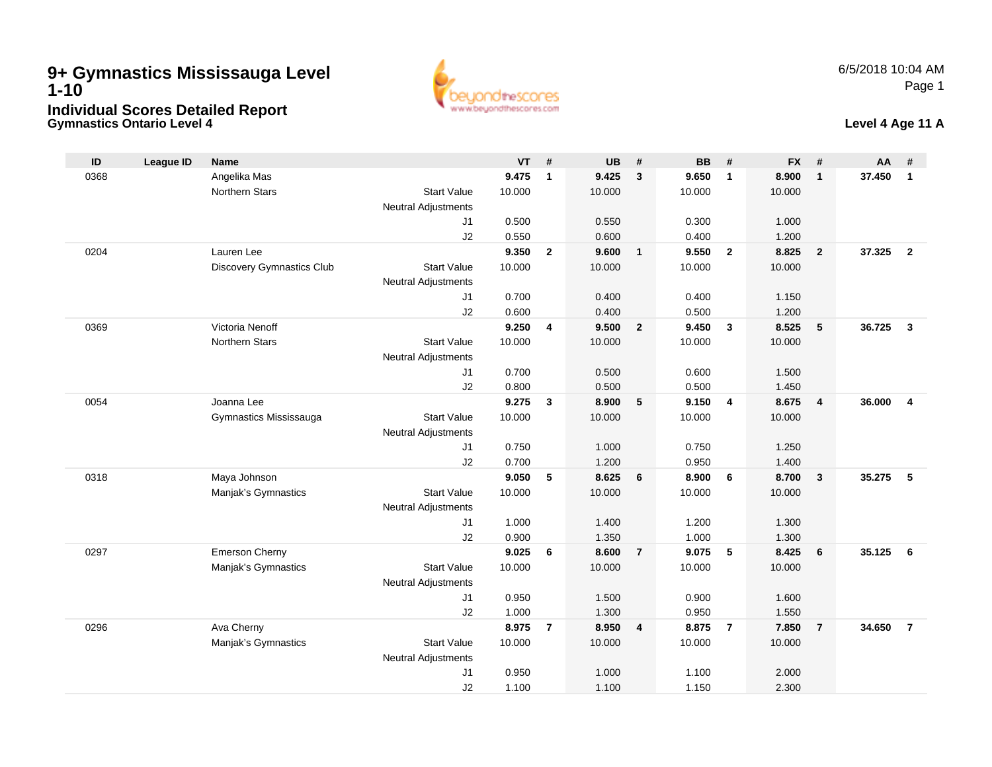## **Gymnastics Ontario Level 49+ Gymnastics Mississauga Level 1-10Individual Scores Detailed Report**



#### **Level 4 Age 11 A**

| ID   | <b>League ID</b> | <b>Name</b>                      |                                  | <b>VT</b> | #              | <b>UB</b> | #              | <b>BB</b> | #              | <b>FX</b> | #              | AA     | #                       |
|------|------------------|----------------------------------|----------------------------------|-----------|----------------|-----------|----------------|-----------|----------------|-----------|----------------|--------|-------------------------|
| 0368 |                  | Angelika Mas                     |                                  | 9.475     | $\mathbf{1}$   | 9.425     | $\mathbf{3}$   | 9.650     | $\overline{1}$ | 8.900     | $\mathbf{1}$   | 37.450 | $\mathbf{1}$            |
|      |                  | <b>Northern Stars</b>            | <b>Start Value</b>               | 10.000    |                | 10.000    |                | 10.000    |                | 10.000    |                |        |                         |
|      |                  |                                  | <b>Neutral Adjustments</b>       |           |                |           |                |           |                |           |                |        |                         |
|      |                  |                                  | J1                               | 0.500     |                | 0.550     |                | 0.300     |                | 1.000     |                |        |                         |
|      |                  |                                  | J2                               | 0.550     |                | 0.600     |                | 0.400     |                | 1.200     |                |        |                         |
| 0204 |                  | Lauren Lee                       |                                  | 9.350     | $\overline{2}$ | 9.600     | $\overline{1}$ | 9.550     | $\overline{2}$ | 8.825     | $\overline{2}$ | 37.325 | $\overline{2}$          |
|      |                  | <b>Discovery Gymnastics Club</b> | <b>Start Value</b>               | 10.000    |                | 10.000    |                | 10.000    |                | 10.000    |                |        |                         |
|      |                  |                                  | <b>Neutral Adjustments</b>       |           |                |           |                |           |                |           |                |        |                         |
|      |                  |                                  | J1                               | 0.700     |                | 0.400     |                | 0.400     |                | 1.150     |                |        |                         |
|      |                  |                                  | J2                               | 0.600     |                | 0.400     |                | 0.500     |                | 1.200     |                |        |                         |
| 0369 |                  | Victoria Nenoff                  |                                  | 9.250     | 4              | 9.500     | $\overline{2}$ | 9.450     | $\mathbf{3}$   | 8.525     | 5              | 36.725 | $\mathbf{3}$            |
|      |                  | Northern Stars                   | <b>Start Value</b>               | 10.000    |                | 10.000    |                | 10.000    |                | 10.000    |                |        |                         |
|      |                  |                                  | <b>Neutral Adjustments</b>       |           |                |           |                |           |                |           |                |        |                         |
|      |                  |                                  | J <sub>1</sub>                   | 0.700     |                | 0.500     |                | 0.600     |                | 1.500     |                |        |                         |
|      |                  |                                  | J2                               | 0.800     |                | 0.500     |                | 0.500     |                | 1.450     |                |        |                         |
| 0054 |                  | Joanna Lee                       |                                  | 9.275     | $\mathbf{3}$   | 8.900     | 5              | 9.150     | $\overline{4}$ | 8.675     | $\overline{4}$ | 36,000 | $\overline{\mathbf{4}}$ |
|      |                  | Gymnastics Mississauga           | <b>Start Value</b>               | 10.000    |                | 10.000    |                | 10.000    |                | 10.000    |                |        |                         |
|      |                  |                                  | <b>Neutral Adjustments</b><br>J1 | 0.750     |                | 1.000     |                | 0.750     |                | 1.250     |                |        |                         |
|      |                  |                                  | J2                               | 0.700     |                | 1.200     |                | 0.950     |                | 1.400     |                |        |                         |
| 0318 |                  | Maya Johnson                     |                                  | 9.050     | 5              | 8.625     | 6              | 8.900     | 6              | 8.700     | $\mathbf{3}$   | 35.275 | 5                       |
|      |                  | Manjak's Gymnastics              | <b>Start Value</b>               | 10.000    |                | 10.000    |                | 10.000    |                | 10.000    |                |        |                         |
|      |                  |                                  | <b>Neutral Adjustments</b>       |           |                |           |                |           |                |           |                |        |                         |
|      |                  |                                  | J1                               | 1.000     |                | 1.400     |                | 1.200     |                | 1.300     |                |        |                         |
|      |                  |                                  | J2                               | 0.900     |                | 1.350     |                | 1.000     |                | 1.300     |                |        |                         |
| 0297 |                  | Emerson Cherny                   |                                  | 9.025     | 6              | 8.600     | $\overline{7}$ | 9.075     | 5              | 8.425     | 6              | 35.125 | - 6                     |
|      |                  | Manjak's Gymnastics              | <b>Start Value</b>               | 10.000    |                | 10.000    |                | 10.000    |                | 10.000    |                |        |                         |
|      |                  |                                  | <b>Neutral Adjustments</b>       |           |                |           |                |           |                |           |                |        |                         |
|      |                  |                                  | J1                               | 0.950     |                | 1.500     |                | 0.900     |                | 1.600     |                |        |                         |
|      |                  |                                  | J2                               | 1.000     |                | 1.300     |                | 0.950     |                | 1.550     |                |        |                         |
| 0296 |                  | Ava Cherny                       |                                  | 8.975     | $\overline{7}$ | 8.950     | $\overline{4}$ | 8.875     | $\overline{7}$ | 7.850     | $\overline{7}$ | 34.650 | $\overline{7}$          |
|      |                  | Manjak's Gymnastics              | <b>Start Value</b>               | 10.000    |                | 10.000    |                | 10.000    |                | 10.000    |                |        |                         |
|      |                  |                                  | <b>Neutral Adjustments</b>       |           |                |           |                |           |                |           |                |        |                         |
|      |                  |                                  | J <sub>1</sub>                   | 0.950     |                | 1.000     |                | 1.100     |                | 2.000     |                |        |                         |
|      |                  |                                  | J2                               | 1.100     |                | 1.100     |                | 1.150     |                | 2.300     |                |        |                         |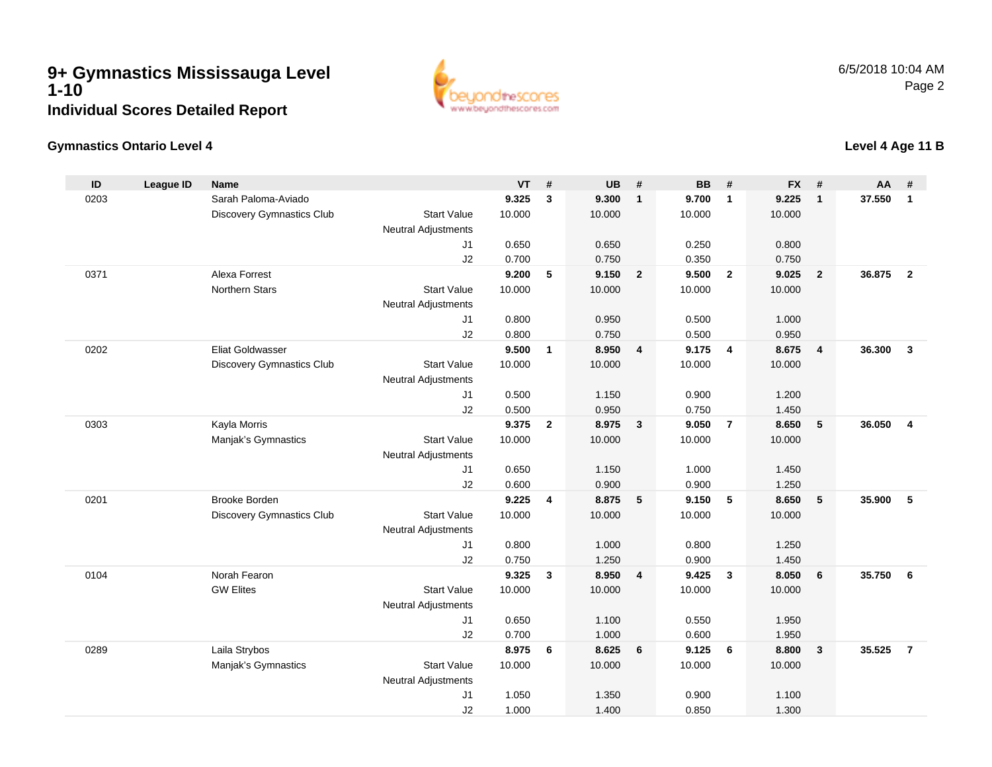

#### **Gymnastics Ontario Level 4**

#### **ID League ID Name VT # UB # BB # FX # AA #** 0203 Sarah Paloma-Aviado **9.325 <sup>3</sup> 9.300 <sup>1</sup> 9.700 <sup>1</sup> 9.225 <sup>1</sup> 37.550 <sup>1</sup>** Discovery Gymnastics Club Start Value 10.000 10.000 10.000 10.000 Neutral Adjustments J1 0.650 0.650 0.250 0.800 J2 0.700 0.750 0.350 0.750 0371 Alexa Forrest **9.200 <sup>5</sup> 9.150 <sup>2</sup> 9.500 <sup>2</sup> 9.025 <sup>2</sup> 36.875 <sup>2</sup>** Northern Stars Start Valuee 10.000 10.000 10.000 10.000 Neutral Adjustments J1 0.800 0.950 0.500 1.000 J2 0.800 0.750 0.500 0.950 0202 Eliat Goldwasser **9.500 <sup>1</sup> 8.950 <sup>4</sup> 9.175 <sup>4</sup> 8.675 <sup>4</sup> 36.300 <sup>3</sup>** Discovery Gymnastics Club Start Value 10.000 10.000 10.000 10.000 Neutral Adjustments J1 0.500 1.150 0.900 1.200 J2 0.500 0.950 0.750 1.450 0303 Kayla Morris **9.375 <sup>2</sup> 8.975 <sup>3</sup> 9.050 <sup>7</sup> 8.650 <sup>5</sup> 36.050 <sup>4</sup>** Manjak's Gymnastics Start Valuee 10.000 10.000 10.000 10.000 Neutral Adjustments J1 0.650 1.150 1.000 1.450 J2 0.600 0.900 0.900 1.250 0201 Brooke Borden **9.225 <sup>4</sup> 8.875 <sup>5</sup> 9.150 <sup>5</sup> 8.650 <sup>5</sup> 35.900 <sup>5</sup>** Discovery Gymnastics Club Start Value 10.000 10.000 10.000 10.000 Neutral Adjustments J1 0.800 1.000 0.800 1.250 J2 0.750 1.250 0.900 1.450 0104 Norah Fearon **9.325 <sup>3</sup> 8.950 <sup>4</sup> 9.425 <sup>3</sup> 8.050 <sup>6</sup> 35.750 <sup>6</sup>** GW Elites Start Valuee 10.000 10.000 10.000 10.000 Neutral AdjustmentsJ1 0.650 1.100 0.550 1.950 J2 0.700 1.000 0.600 1.950 0289 Laila Strybos **8.975 <sup>6</sup> 8.625 <sup>6</sup> 9.125 <sup>6</sup> 8.800 <sup>3</sup> 35.525 <sup>7</sup>** Manjak's Gymnastics Start Valuee 10.000 10.000 10.000 10.000 Neutral Adjustments J1 1.050 1.350 0.900 1.100 J21.000 1.400 0.850 1.300

### **Level 4 Age 11 B**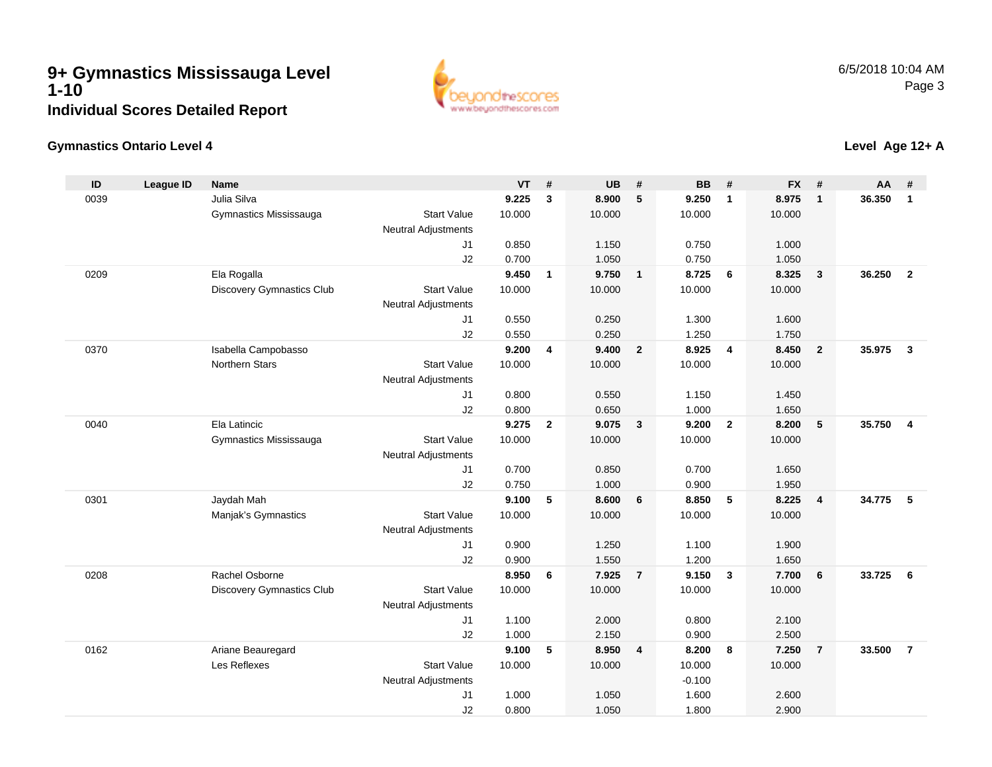

#### **Gymnastics Ontario Level 4**

| ID   | <b>League ID</b> | <b>Name</b>               |                                              | <b>VT</b> | #              | <b>UB</b> | #                       | <b>BB</b> | #              | <b>FX</b> | #              | AA     | #              |
|------|------------------|---------------------------|----------------------------------------------|-----------|----------------|-----------|-------------------------|-----------|----------------|-----------|----------------|--------|----------------|
| 0039 |                  | Julia Silva               |                                              | 9.225     | $\mathbf{3}$   | 8.900     | 5                       | 9.250     | $\mathbf{1}$   | 8.975     | $\overline{1}$ | 36.350 | $\overline{1}$ |
|      |                  | Gymnastics Mississauga    | <b>Start Value</b>                           | 10.000    |                | 10.000    |                         | 10.000    |                | 10.000    |                |        |                |
|      |                  |                           | Neutral Adjustments                          |           |                |           |                         |           |                |           |                |        |                |
|      |                  |                           | J1                                           | 0.850     |                | 1.150     |                         | 0.750     |                | 1.000     |                |        |                |
|      |                  |                           | J2                                           | 0.700     |                | 1.050     |                         | 0.750     |                | 1.050     |                |        |                |
| 0209 |                  | Ela Rogalla               |                                              | 9.450     | $\mathbf{1}$   | 9.750     | $\overline{1}$          | 8.725     | 6              | 8.325     | $\mathbf{3}$   | 36.250 | $\overline{2}$ |
|      |                  | Discovery Gymnastics Club | <b>Start Value</b>                           | 10.000    |                | 10.000    |                         | 10.000    |                | 10.000    |                |        |                |
|      |                  |                           | <b>Neutral Adjustments</b><br>J <sub>1</sub> | 0.550     |                | 0.250     |                         | 1.300     |                | 1.600     |                |        |                |
|      |                  |                           | J2                                           | 0.550     |                | 0.250     |                         | 1.250     |                | 1.750     |                |        |                |
| 0370 |                  | Isabella Campobasso       |                                              | 9.200     | 4              | 9.400     | $\overline{2}$          | 8.925     | 4              | 8.450     | $\overline{2}$ | 35.975 | $\mathbf{3}$   |
|      |                  | <b>Northern Stars</b>     | <b>Start Value</b>                           | 10.000    |                | 10.000    |                         | 10.000    |                | 10.000    |                |        |                |
|      |                  |                           | <b>Neutral Adjustments</b>                   |           |                |           |                         |           |                |           |                |        |                |
|      |                  |                           | J <sub>1</sub>                               | 0.800     |                | 0.550     |                         | 1.150     |                | 1.450     |                |        |                |
|      |                  |                           | J2                                           | 0.800     |                | 0.650     |                         | 1.000     |                | 1.650     |                |        |                |
| 0040 |                  | Ela Latincic              |                                              | 9.275     | $\overline{2}$ | 9.075     | $\overline{\mathbf{3}}$ | 9.200     | $\overline{2}$ | 8.200     | $\sqrt{5}$     | 35.750 | $\overline{4}$ |
|      |                  | Gymnastics Mississauga    | <b>Start Value</b>                           | 10.000    |                | 10.000    |                         | 10.000    |                | 10.000    |                |        |                |
|      |                  |                           | <b>Neutral Adjustments</b>                   |           |                |           |                         |           |                |           |                |        |                |
|      |                  |                           | J1                                           | 0.700     |                | 0.850     |                         | 0.700     |                | 1.650     |                |        |                |
|      |                  |                           | J2                                           | 0.750     |                | 1.000     |                         | 0.900     |                | 1.950     |                |        |                |
| 0301 |                  | Jaydah Mah                |                                              | 9.100     | 5              | 8.600     | 6                       | 8.850     | - 5            | 8.225     | $\overline{4}$ | 34.775 | - 5            |
|      |                  | Manjak's Gymnastics       | <b>Start Value</b>                           | 10.000    |                | 10.000    |                         | 10.000    |                | 10.000    |                |        |                |
|      |                  |                           | Neutral Adjustments<br>J1                    | 0.900     |                | 1.250     |                         | 1.100     |                | 1.900     |                |        |                |
|      |                  |                           | J2                                           | 0.900     |                | 1.550     |                         | 1.200     |                | 1.650     |                |        |                |
| 0208 |                  | Rachel Osborne            |                                              | 8.950     | 6              | 7.925     | $\overline{7}$          | 9.150     | $\mathbf{3}$   | 7.700     | 6              | 33.725 | 6              |
|      |                  | Discovery Gymnastics Club | <b>Start Value</b>                           | 10.000    |                | 10.000    |                         | 10.000    |                | 10.000    |                |        |                |
|      |                  |                           | <b>Neutral Adjustments</b>                   |           |                |           |                         |           |                |           |                |        |                |
|      |                  |                           | J1                                           | 1.100     |                | 2.000     |                         | 0.800     |                | 2.100     |                |        |                |
|      |                  |                           | J2                                           | 1.000     |                | 2.150     |                         | 0.900     |                | 2.500     |                |        |                |
| 0162 |                  | Ariane Beauregard         |                                              | 9.100     | 5              | 8.950     | $\overline{4}$          | 8.200     | 8              | 7.250     | $\overline{7}$ | 33.500 | $\overline{7}$ |
|      |                  | Les Reflexes              | <b>Start Value</b>                           | 10.000    |                | 10.000    |                         | 10.000    |                | 10.000    |                |        |                |
|      |                  |                           | <b>Neutral Adjustments</b>                   |           |                |           |                         | $-0.100$  |                |           |                |        |                |
|      |                  |                           | J1                                           | 1.000     |                | 1.050     |                         | 1.600     |                | 2.600     |                |        |                |
|      |                  |                           | J2                                           | 0.800     |                | 1.050     |                         | 1.800     |                | 2.900     |                |        |                |

#### **Level Age 12+ A**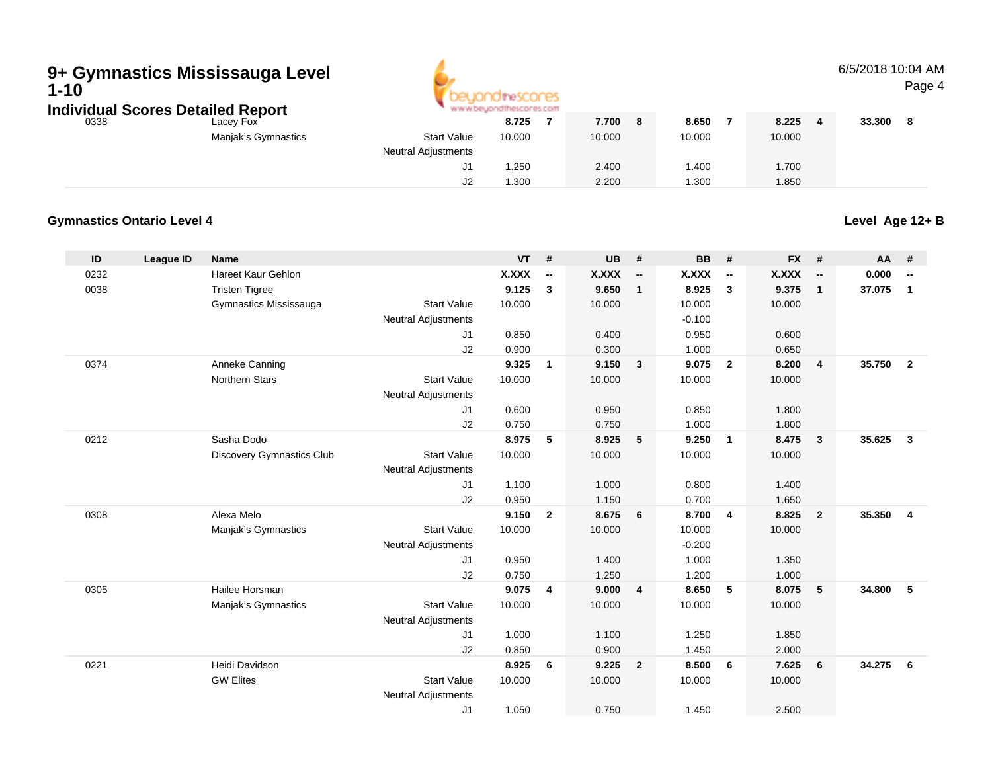# **9+ Gymnastics Mississauga Level 1-10**



#### 6/5/2018 10:04 AMPage 4

|      | Individual Scores Detailed Report | www.beyondthescores.com    |        |        |   |        |        |        |  |
|------|-----------------------------------|----------------------------|--------|--------|---|--------|--------|--------|--|
| 0338 | Lacey Fox                         |                            | 8.725  | 7.700  | 8 | 8.650  | 8.225  | 33.300 |  |
|      | Manjak's Gymnastics               | <b>Start Value</b>         | 10.000 | 10.000 |   | 10.000 | 10.000 |        |  |
|      |                                   | <b>Neutral Adjustments</b> |        |        |   |        |        |        |  |
|      |                                   | J1                         | .250   | 2.400  |   | .400   | 1.700  |        |  |
|      |                                   | J2                         | .300   | 2.200  |   | 300. ا | 1.850  |        |  |

#### **Gymnastics Ontario Level 4**

**Level Age 12+ B**

| ID   | League ID | <b>Name</b>                      |                            | <b>VT</b>    | #              | <b>UB</b>    | #                        | <b>BB</b>    | #                        | <b>FX</b>    | #                        | AA     | #                        |
|------|-----------|----------------------------------|----------------------------|--------------|----------------|--------------|--------------------------|--------------|--------------------------|--------------|--------------------------|--------|--------------------------|
| 0232 |           | Hareet Kaur Gehlon               |                            | <b>X.XXX</b> | --             | <b>X.XXX</b> | $\overline{\phantom{a}}$ | <b>X.XXX</b> | $\overline{\phantom{a}}$ | <b>X.XXX</b> | $\overline{\phantom{a}}$ | 0.000  | $\overline{\phantom{a}}$ |
| 0038 |           | <b>Tristen Tigree</b>            |                            | 9.125        | 3              | 9.650        | $\mathbf{1}$             | 8.925        | $\mathbf{3}$             | 9.375        | $\mathbf{1}$             | 37.075 | $\mathbf{1}$             |
|      |           | Gymnastics Mississauga           | <b>Start Value</b>         | 10.000       |                | 10.000       |                          | 10.000       |                          | 10.000       |                          |        |                          |
|      |           |                                  | <b>Neutral Adjustments</b> |              |                |              |                          | $-0.100$     |                          |              |                          |        |                          |
|      |           |                                  | J1                         | 0.850        |                | 0.400        |                          | 0.950        |                          | 0.600        |                          |        |                          |
|      |           |                                  | J2                         | 0.900        |                | 0.300        |                          | 1.000        |                          | 0.650        |                          |        |                          |
| 0374 |           | Anneke Canning                   |                            | 9.325        | $\mathbf{1}$   | 9.150        | $\mathbf{3}$             | 9.075        | $\overline{2}$           | 8.200        | $\overline{4}$           | 35.750 | $\overline{2}$           |
|      |           | <b>Northern Stars</b>            | <b>Start Value</b>         | 10.000       |                | 10.000       |                          | 10.000       |                          | 10.000       |                          |        |                          |
|      |           |                                  | <b>Neutral Adjustments</b> |              |                |              |                          |              |                          |              |                          |        |                          |
|      |           |                                  | J1                         | 0.600        |                | 0.950        |                          | 0.850        |                          | 1.800        |                          |        |                          |
|      |           |                                  | J2                         | 0.750        |                | 0.750        |                          | 1.000        |                          | 1.800        |                          |        |                          |
| 0212 |           | Sasha Dodo                       |                            | 8.975        | 5              | 8.925        | 5                        | 9.250        | $\overline{1}$           | 8.475        | $\mathbf{3}$             | 35.625 | $\mathbf{3}$             |
|      |           | <b>Discovery Gymnastics Club</b> | <b>Start Value</b>         | 10.000       |                | 10.000       |                          | 10.000       |                          | 10.000       |                          |        |                          |
|      |           |                                  | <b>Neutral Adjustments</b> |              |                |              |                          |              |                          |              |                          |        |                          |
|      |           |                                  | J1                         | 1.100        |                | 1.000        |                          | 0.800        |                          | 1.400        |                          |        |                          |
|      |           |                                  | J2                         | 0.950        |                | 1.150        |                          | 0.700        |                          | 1.650        |                          |        |                          |
| 0308 |           | Alexa Melo                       |                            | 9.150        | $\overline{2}$ | 8.675        | 6                        | 8.700        | $\overline{4}$           | 8.825        | $\overline{2}$           | 35.350 | $\overline{\mathbf{4}}$  |
|      |           | Manjak's Gymnastics              | <b>Start Value</b>         | 10.000       |                | 10.000       |                          | 10.000       |                          | 10.000       |                          |        |                          |
|      |           |                                  | <b>Neutral Adjustments</b> |              |                |              |                          | $-0.200$     |                          |              |                          |        |                          |
|      |           |                                  | J1                         | 0.950        |                | 1.400        |                          | 1.000        |                          | 1.350        |                          |        |                          |
|      |           |                                  | J2                         | 0.750        |                | 1.250        |                          | 1.200        |                          | 1.000        |                          |        |                          |
| 0305 |           | Hailee Horsman                   |                            | 9.075        | 4              | 9.000        | 4                        | 8.650        | 5                        | 8.075        | 5                        | 34.800 | 5                        |
|      |           | Manjak's Gymnastics              | <b>Start Value</b>         | 10.000       |                | 10.000       |                          | 10.000       |                          | 10.000       |                          |        |                          |
|      |           |                                  | <b>Neutral Adjustments</b> |              |                |              |                          |              |                          |              |                          |        |                          |
|      |           |                                  | J <sub>1</sub>             | 1.000        |                | 1.100        |                          | 1.250        |                          | 1.850        |                          |        |                          |
|      |           |                                  | J2                         | 0.850        |                | 0.900        |                          | 1.450        |                          | 2.000        |                          |        |                          |
| 0221 |           | Heidi Davidson                   |                            | 8.925        | 6              | 9.225        | $\overline{2}$           | 8.500        | 6                        | 7.625        | 6                        | 34.275 | 6                        |
|      |           | <b>GW Elites</b>                 | <b>Start Value</b>         | 10.000       |                | 10.000       |                          | 10.000       |                          | 10.000       |                          |        |                          |
|      |           |                                  | <b>Neutral Adjustments</b> |              |                |              |                          |              |                          |              |                          |        |                          |
|      |           |                                  | J1                         | 1.050        |                | 0.750        |                          | 1.450        |                          | 2.500        |                          |        |                          |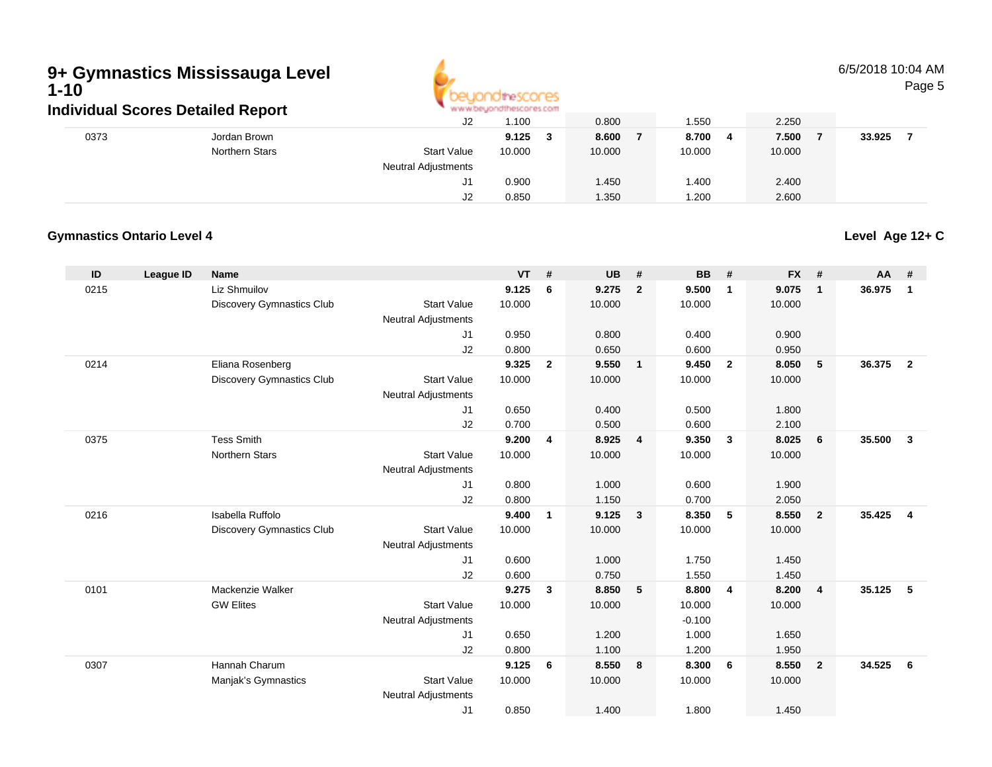

#### 6/5/2018 10:04 AMPage 5

|      | Individual Scores Detailed Report |                            | " www.beyondthescores.com |        |         |        |        |  |
|------|-----------------------------------|----------------------------|---------------------------|--------|---------|--------|--------|--|
|      |                                   | J2                         | .100،                     | 0.800  | 550ء ا  | 2.250  |        |  |
| 0373 | Jordan Brown                      |                            | 9.125                     | 8.600  | 8.700 4 | 7.500  | 33.925 |  |
|      | Northern Stars                    | <b>Start Value</b>         | 10.000                    | 10.000 | 10.000  | 10.000 |        |  |
|      |                                   | <b>Neutral Adjustments</b> |                           |        |         |        |        |  |
|      |                                   | J1.                        | 0.900                     | 1.450  | 1.400   | 2.400  |        |  |
|      |                                   | J2                         | 0.850                     | 1.350  | 1.200   | 2.600  |        |  |

#### **Gymnastics Ontario Level 4**

**ID League ID Name VT # UB # BB # FX # AA #** 0215 Liz Shmuilov **9.125 <sup>6</sup> 9.275 <sup>2</sup> 9.500 <sup>1</sup> 9.075 <sup>1</sup> 36.975 <sup>1</sup>** Discovery Gymnastics Club Start Value 10.000 10.000 10.000 10.000 Neutral Adjustments J1 0.950 0.800 0.400 0.900 J2 0.800 0.650 0.600 0.950 0214 Eliana Rosenberg **9.325 <sup>2</sup> 9.550 <sup>1</sup> 9.450 <sup>2</sup> 8.050 <sup>5</sup> 36.375 <sup>2</sup>** Discovery Gymnastics Club Start Value 10.000 10.000 10.000 10.000 Neutral Adjustments J1 0.650 0.400 0.500 1.800 J2 0.700 0.500 0.600 2.100 0375 Tess Smith **9.200 <sup>4</sup> 8.925 <sup>4</sup> 9.350 <sup>3</sup> 8.025 <sup>6</sup> 35.500 <sup>3</sup>** Northern Stars Start Valuee 10.000 10.000 10.000 10.000 Neutral AdjustmentsJ1 0.800 1.000 0.600 1.900 J2 0.800 1.150 0.700 2.050 0216 Isabella Ruffolo **9.400 <sup>1</sup> 9.125 <sup>3</sup> 8.350 <sup>5</sup> 8.550 <sup>2</sup> 35.425 <sup>4</sup>** Discovery Gymnastics Club Start Value 10.000 10.000 10.000 10.000 Neutral Adjustments J1 0.600 1.000 1.750 1.450 J2 0.600 0.750 1.550 1.450 0101 Mackenzie Walker **9.275 <sup>3</sup> 8.850 <sup>5</sup> 8.800 <sup>4</sup> 8.200 <sup>4</sup> 35.125 <sup>5</sup>** GW Elites Start Valuee 10.000 10.000 10.000 10.000 Neutral Adjustments $-0.100$ 1.000 J1 0.650 1.200 1.000 1.650 J2 0.800 1.100 1.200 1.950 0307 Hannah Charum **9.125 <sup>6</sup> 8.550 <sup>8</sup> 8.300 <sup>6</sup> 8.550 <sup>2</sup> 34.525 <sup>6</sup>** Manjak's Gymnastics Start Valuee 10.000 10.000 10.000 10.000 Neutral Adjustments J10.850 1.400 1.800 1.450

**Level Age 12+ C**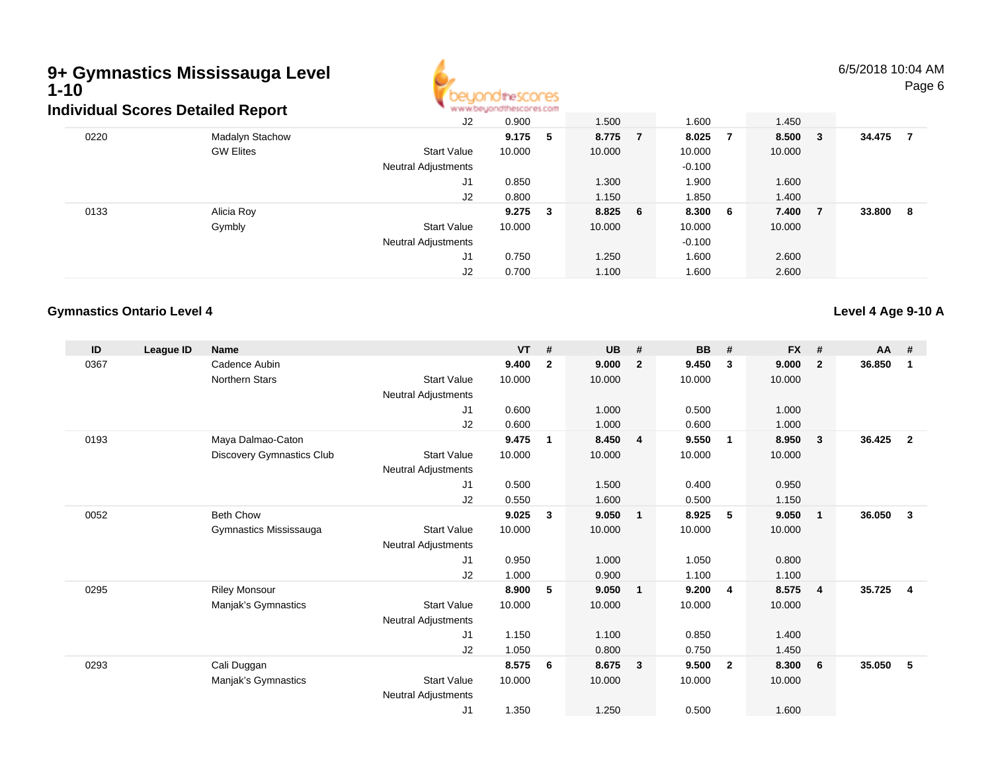# **9+ Gymnastics Mississauga Level 1-10**



6/5/2018 10:04 AMPage 6

|      | Individual Scores Detailed Report |                            | www.beyondthescores.com |     |         |          |        |     |        |    |
|------|-----------------------------------|----------------------------|-------------------------|-----|---------|----------|--------|-----|--------|----|
|      |                                   | J2                         | 0.900                   |     | 1.500   | 1.600    | 1.450  |     |        |    |
| 0220 | Madalyn Stachow                   |                            | 9.175                   | -5  | 8.775 7 | 8.025 7  | 8.500  | - 3 | 34.475 |    |
|      | <b>GW Elites</b>                  | <b>Start Value</b>         | 10.000                  |     | 10.000  | 10.000   | 10.000 |     |        |    |
|      |                                   | <b>Neutral Adjustments</b> |                         |     |         | $-0.100$ |        |     |        |    |
|      |                                   | J1                         | 0.850                   |     | 1.300   | 1.900    | 1.600  |     |        |    |
|      |                                   | J2                         | 0.800                   |     | 1.150   | 1.850    | 1.400  |     |        |    |
| 0133 | Alicia Roy                        |                            | 9.275                   | - 3 | 8.825 6 | 8.300 6  | 7.400  | - 7 | 33.800 | -8 |
|      | Gymbly                            | <b>Start Value</b>         | 10.000                  |     | 10.000  | 10.000   | 10.000 |     |        |    |
|      |                                   | <b>Neutral Adjustments</b> |                         |     |         | $-0.100$ |        |     |        |    |
|      |                                   | J1                         | 0.750                   |     | 1.250   | 1.600    | 2.600  |     |        |    |
|      |                                   | J2                         | 0.700                   |     | 1.100   | 1.600    | 2.600  |     |        |    |

#### **Gymnastics Ontario Level 4**

**Level 4 Age 9-10 A**

| ID   | League ID | <b>Name</b>               |                     | <b>VT</b> | #              | <b>UB</b> | #                       | <b>BB</b> | #                       | <b>FX</b> | #              | <b>AA</b> | #              |
|------|-----------|---------------------------|---------------------|-----------|----------------|-----------|-------------------------|-----------|-------------------------|-----------|----------------|-----------|----------------|
| 0367 |           | Cadence Aubin             |                     | 9.400     | $\overline{2}$ | 9.000     | $\overline{2}$          | 9.450     | 3                       | 9.000     | $\overline{2}$ | 36.850    | $\mathbf 1$    |
|      |           | <b>Northern Stars</b>     | <b>Start Value</b>  | 10.000    |                | 10.000    |                         | 10.000    |                         | 10.000    |                |           |                |
|      |           |                           | Neutral Adjustments |           |                |           |                         |           |                         |           |                |           |                |
|      |           |                           | J1                  | 0.600     |                | 1.000     |                         | 0.500     |                         | 1.000     |                |           |                |
|      |           |                           | J2                  | 0.600     |                | 1.000     |                         | 0.600     |                         | 1.000     |                |           |                |
| 0193 |           | Maya Dalmao-Caton         |                     | 9.475     | $\mathbf 1$    | 8.450     | $\overline{4}$          | 9.550     | $\overline{1}$          | 8.950     | $\mathbf{3}$   | 36.425    | $\overline{2}$ |
|      |           | Discovery Gymnastics Club | <b>Start Value</b>  | 10.000    |                | 10.000    |                         | 10.000    |                         | 10.000    |                |           |                |
|      |           |                           | Neutral Adjustments |           |                |           |                         |           |                         |           |                |           |                |
|      |           |                           | J1                  | 0.500     |                | 1.500     |                         | 0.400     |                         | 0.950     |                |           |                |
|      |           |                           | J2                  | 0.550     |                | 1.600     |                         | 0.500     |                         | 1.150     |                |           |                |
| 0052 |           | <b>Beth Chow</b>          |                     | 9.025     | 3              | 9.050     | $\overline{\mathbf{1}}$ | 8.925     | -5                      | 9.050     | $\mathbf{1}$   | 36.050    | 3              |
|      |           | Gymnastics Mississauga    | <b>Start Value</b>  | 10.000    |                | 10.000    |                         | 10.000    |                         | 10.000    |                |           |                |
|      |           |                           | Neutral Adjustments |           |                |           |                         |           |                         |           |                |           |                |
|      |           |                           | J1                  | 0.950     |                | 1.000     |                         | 1.050     |                         | 0.800     |                |           |                |
|      |           |                           | J2                  | 1.000     |                | 0.900     |                         | 1.100     |                         | 1.100     |                |           |                |
| 0295 |           | <b>Riley Monsour</b>      |                     | 8.900     | 5              | 9.050     | $\overline{\mathbf{1}}$ | 9.200     | $\overline{4}$          | 8.575     | $\overline{4}$ | 35.725    | $\overline{4}$ |
|      |           | Manjak's Gymnastics       | <b>Start Value</b>  | 10.000    |                | 10.000    |                         | 10.000    |                         | 10.000    |                |           |                |
|      |           |                           | Neutral Adjustments |           |                |           |                         |           |                         |           |                |           |                |
|      |           |                           | J1                  | 1.150     |                | 1.100     |                         | 0.850     |                         | 1.400     |                |           |                |
|      |           |                           | J2                  | 1.050     |                | 0.800     |                         | 0.750     |                         | 1.450     |                |           |                |
| 0293 |           | Cali Duggan               |                     | 8.575     | 6              | 8.675     | $\mathbf{3}$            | 9.500     | $\overline{\mathbf{2}}$ | 8.300     | 6              | 35.050    | 5              |
|      |           | Manjak's Gymnastics       | <b>Start Value</b>  | 10.000    |                | 10.000    |                         | 10.000    |                         | 10.000    |                |           |                |
|      |           |                           | Neutral Adjustments |           |                |           |                         |           |                         |           |                |           |                |
|      |           |                           | J1                  | 1.350     |                | 1.250     |                         | 0.500     |                         | 1.600     |                |           |                |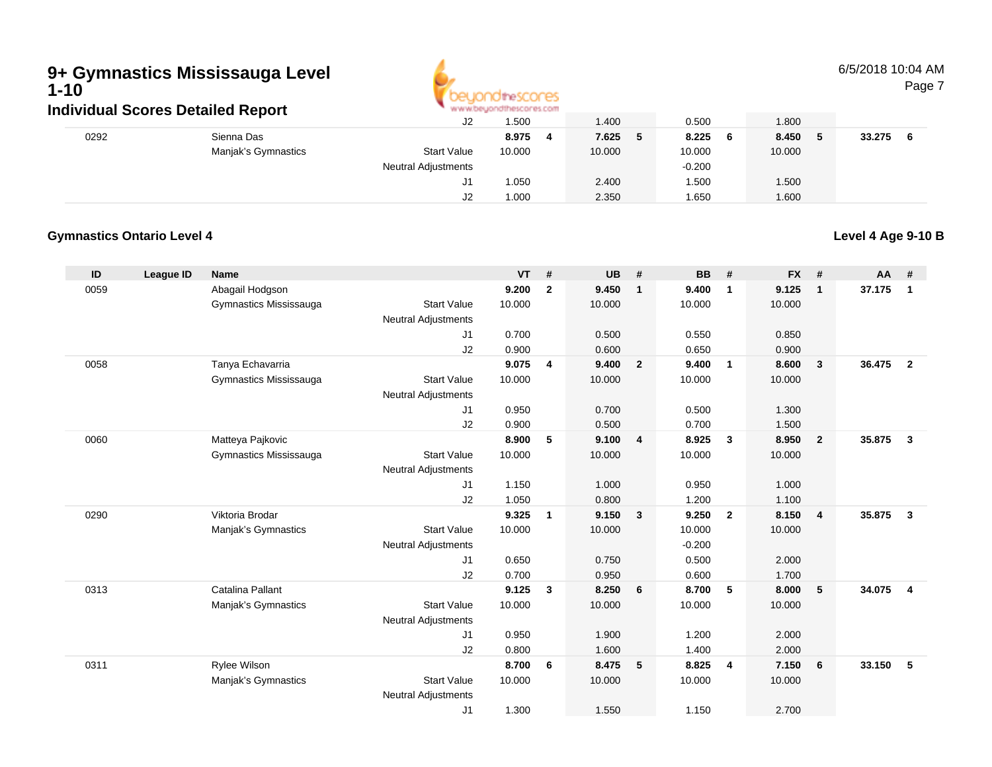

### 6/5/2018 10:04 AM

Page 7

|      | individual Scores Detailed Report |                            | WAS ALDESDED THESE OF 62 FOUR |        |              |        |        |
|------|-----------------------------------|----------------------------|-------------------------------|--------|--------------|--------|--------|
|      |                                   | J2                         | .500                          | 1.400  | 0.500        | 1.800  |        |
| 0292 | Sienna Das                        |                            | 8.975                         | 7.625  | 8.225<br>- 6 | 8.450  | 33.275 |
|      | Manjak's Gymnastics               | <b>Start Value</b>         | 10.000                        | 10.000 | 10.000       | 10.000 |        |
|      |                                   | <b>Neutral Adjustments</b> |                               |        | $-0.200$     |        |        |
|      |                                   | J1                         | 1.050                         | 2.400  | .500         | 1.500  |        |
|      |                                   | J2                         | 1.000                         | 2.350  | 1.650        | 1.600  |        |

#### **Gymnastics Ontario Level 4**

**Level 4 Age 9-10 B**

| ID   | League ID | <b>Name</b>             |                                  | <b>VT</b> | #              | <b>UB</b> | #              | <b>BB</b> | #              | <b>FX</b> | #                       | <b>AA</b> | #                       |
|------|-----------|-------------------------|----------------------------------|-----------|----------------|-----------|----------------|-----------|----------------|-----------|-------------------------|-----------|-------------------------|
| 0059 |           | Abagail Hodgson         |                                  | 9.200     | $\overline{2}$ | 9.450     | $\mathbf{1}$   | 9.400     | $\mathbf{1}$   | 9.125     | $\overline{\mathbf{1}}$ | 37.175    | $\mathbf{1}$            |
|      |           | Gymnastics Mississauga  | <b>Start Value</b>               | 10.000    |                | 10.000    |                | 10.000    |                | 10.000    |                         |           |                         |
|      |           |                         | <b>Neutral Adjustments</b>       |           |                |           |                |           |                |           |                         |           |                         |
|      |           |                         | J1                               | 0.700     |                | 0.500     |                | 0.550     |                | 0.850     |                         |           |                         |
|      |           |                         | J2                               | 0.900     |                | 0.600     |                | 0.650     |                | 0.900     |                         |           |                         |
| 0058 |           | Tanya Echavarria        |                                  | 9.075     | 4              | 9.400     | $\overline{2}$ | 9.400     | $\mathbf{1}$   | 8.600     | $\mathbf{3}$            | 36,475    | $\overline{2}$          |
|      |           | Gymnastics Mississauga  | <b>Start Value</b>               | 10.000    |                | 10.000    |                | 10.000    |                | 10.000    |                         |           |                         |
|      |           |                         | <b>Neutral Adjustments</b>       | 0.950     |                | 0.700     |                | 0.500     |                | 1.300     |                         |           |                         |
|      |           |                         | J1<br>J2                         | 0.900     |                | 0.500     |                | 0.700     |                | 1.500     |                         |           |                         |
| 0060 |           | Matteya Pajkovic        |                                  | 8.900     | 5              | 9.100     | $\overline{4}$ | 8.925     | $\mathbf{3}$   | 8.950     | $\overline{2}$          | 35.875    | $\mathbf{3}$            |
|      |           | Gymnastics Mississauga  | <b>Start Value</b>               | 10.000    |                | 10.000    |                | 10.000    |                | 10.000    |                         |           |                         |
|      |           |                         | <b>Neutral Adjustments</b>       |           |                |           |                |           |                |           |                         |           |                         |
|      |           |                         | J1                               | 1.150     |                | 1.000     |                | 0.950     |                | 1.000     |                         |           |                         |
|      |           |                         | J2                               | 1.050     |                | 0.800     |                | 1.200     |                | 1.100     |                         |           |                         |
| 0290 |           | Viktoria Brodar         |                                  | 9.325     | $\mathbf{1}$   | 9.150     | $\mathbf{3}$   | 9.250     | $\overline{2}$ | 8.150     | $\overline{4}$          | 35.875    | $\mathbf{3}$            |
|      |           | Manjak's Gymnastics     | <b>Start Value</b>               | 10.000    |                | 10.000    |                | 10.000    |                | 10.000    |                         |           |                         |
|      |           |                         | <b>Neutral Adjustments</b>       |           |                |           |                | $-0.200$  |                |           |                         |           |                         |
|      |           |                         | J1                               | 0.650     |                | 0.750     |                | 0.500     |                | 2.000     |                         |           |                         |
|      |           |                         | J2                               | 0.700     |                | 0.950     |                | 0.600     |                | 1.700     |                         |           |                         |
| 0313 |           | <b>Catalina Pallant</b> |                                  | 9.125     | 3              | 8.250     | 6              | 8.700     | 5              | 8.000     | 5                       | 34.075    | $\overline{\mathbf{4}}$ |
|      |           | Manjak's Gymnastics     | <b>Start Value</b>               | 10.000    |                | 10.000    |                | 10.000    |                | 10.000    |                         |           |                         |
|      |           |                         | <b>Neutral Adjustments</b>       |           |                |           |                |           |                |           |                         |           |                         |
|      |           |                         | J1                               | 0.950     |                | 1.900     |                | 1.200     |                | 2.000     |                         |           |                         |
|      |           |                         | J2                               | 0.800     |                | 1.600     |                | 1.400     |                | 2.000     |                         |           |                         |
| 0311 |           | Rylee Wilson            |                                  | 8.700     | 6              | 8.475     | 5              | 8.825     | 4              | 7.150     | 6                       | 33.150    | 5                       |
|      |           | Manjak's Gymnastics     | <b>Start Value</b>               | 10.000    |                | 10.000    |                | 10.000    |                | 10.000    |                         |           |                         |
|      |           |                         | <b>Neutral Adjustments</b><br>J1 | 1.300     |                | 1.550     |                | 1.150     |                | 2.700     |                         |           |                         |
|      |           |                         |                                  |           |                |           |                |           |                |           |                         |           |                         |